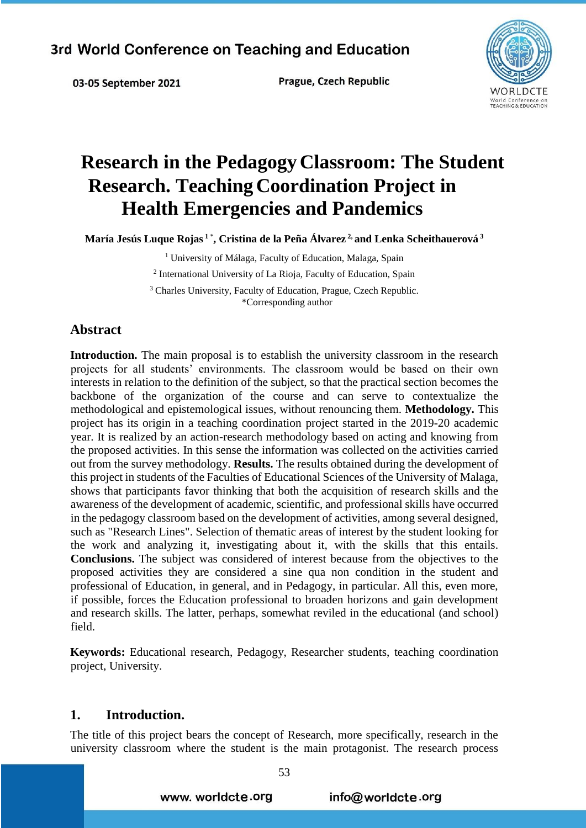03-05 September 2021

Prague, Czech Republic



# **Research in the Pedagogy Classroom: The Student Research. Teaching Coordination Project in Health Emergencies and Pandemics**

**María Jesús Luque Rojas <sup>1</sup>**\* **, Cristina de la Peña Álvarez 2, and Lenka Scheithauerová <sup>3</sup>** 

<sup>1</sup> University of Málaga, Faculty of Education, Malaga, Spain 2 International University of La Rioja, Faculty of Education, Spain <sup>3</sup> Charles University, Faculty of Education, Prague, Czech Republic.

#### \*Corresponding author

### **Abstract**

**Introduction.** The main proposal is to establish the university classroom in the research projects for all students' environments. The classroom would be based on their own interests in relation to the definition of the subject, so that the practical section becomes the backbone of the organization of the course and can serve to contextualize the methodological and epistemological issues, without renouncing them. **Methodology.** This project has its origin in a teaching coordination project started in the 2019-20 academic year. It is realized by an action-research methodology based on acting and knowing from the proposed activities. In this sense the information was collected on the activities carried out from the survey methodology. **Results.** The results obtained during the development of this project in students of the Faculties of Educational Sciences of the University of Malaga, shows that participants favor thinking that both the acquisition of research skills and the awareness of the development of academic, scientific, and professional skills have occurred in the pedagogy classroom based on the development of activities, among several designed, such as "Research Lines". Selection of thematic areas of interest by the student looking for the work and analyzing it, investigating about it, with the skills that this entails. **Conclusions.** The subject was considered of interest because from the objectives to the proposed activities they are considered a sine qua non condition in the student and professional of Education, in general, and in Pedagogy, in particular. All this, even more, if possible, forces the Education professional to broaden horizons and gain development and research skills. The latter, perhaps, somewhat reviled in the educational (and school) field.

**Keywords:** Educational research, Pedagogy, Researcher students, teaching coordination project, University.

### **1. Introduction.**

The title of this project bears the concept of Research, more specifically, research in the university classroom where the student is the main protagonist. The research process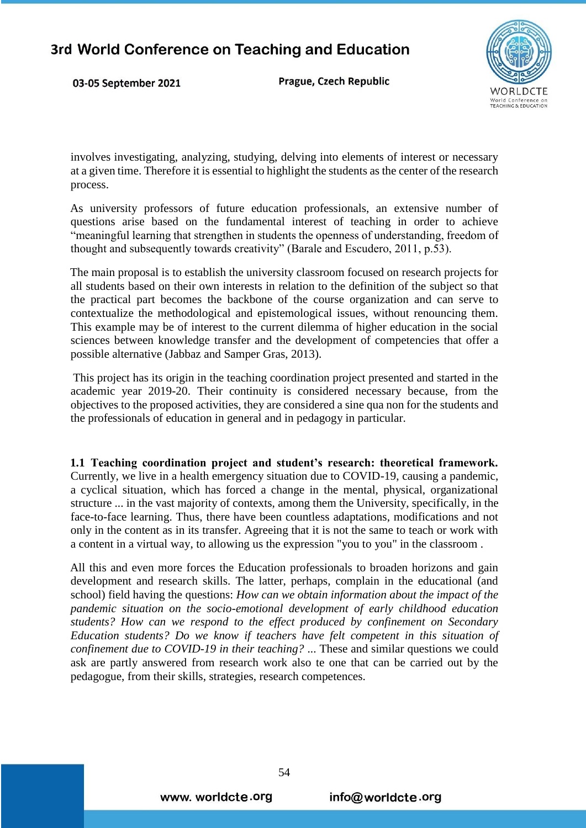03-05 September 2021

Prague, Czech Republic



involves investigating, analyzing, studying, delving into elements of interest or necessary at a given time. Therefore it is essential to highlight the students as the center of the research process.

As university professors of future education professionals, an extensive number of questions arise based on the fundamental interest of teaching in order to achieve "meaningful learning that strengthen in students the openness of understanding, freedom of thought and subsequently towards creativity" (Barale and Escudero, 2011, p.53).

The main proposal is to establish the university classroom focused on research projects for all students based on their own interests in relation to the definition of the subject so that the practical part becomes the backbone of the course organization and can serve to contextualize the methodological and epistemological issues, without renouncing them. This example may be of interest to the current dilemma of higher education in the social sciences between knowledge transfer and the development of competencies that offer a possible alternative (Jabbaz and Samper Gras, 2013).

This project has its origin in the teaching coordination project presented and started in the academic year 2019-20. Their continuity is considered necessary because, from the objectives to the proposed activities, they are considered a sine qua non for the students and the professionals of education in general and in pedagogy in particular.

**1.1 Teaching coordination project and student's research: theoretical framework.**  Currently, we live in a health emergency situation due to COVID-19, causing a pandemic, a cyclical situation, which has forced a change in the mental, physical, organizational structure ... in the vast majority of contexts, among them the University, specifically, in the face-to-face learning. Thus, there have been countless adaptations, modifications and not only in the content as in its transfer. Agreeing that it is not the same to teach or work with a content in a virtual way, to allowing us the expression "you to you" in the classroom .

All this and even more forces the Education professionals to broaden horizons and gain development and research skills. The latter, perhaps, complain in the educational (and school) field having the questions: *How can we obtain information about the impact of the pandemic situation on the socio-emotional development of early childhood education students? How can we respond to the effect produced by confinement on Secondary Education students? Do we know if teachers have felt competent in this situation of confinement due to COVID-19 in their teaching?* ... These and similar questions we could ask are partly answered from research work also te one that can be carried out by the pedagogue, from their skills, strategies, research competences.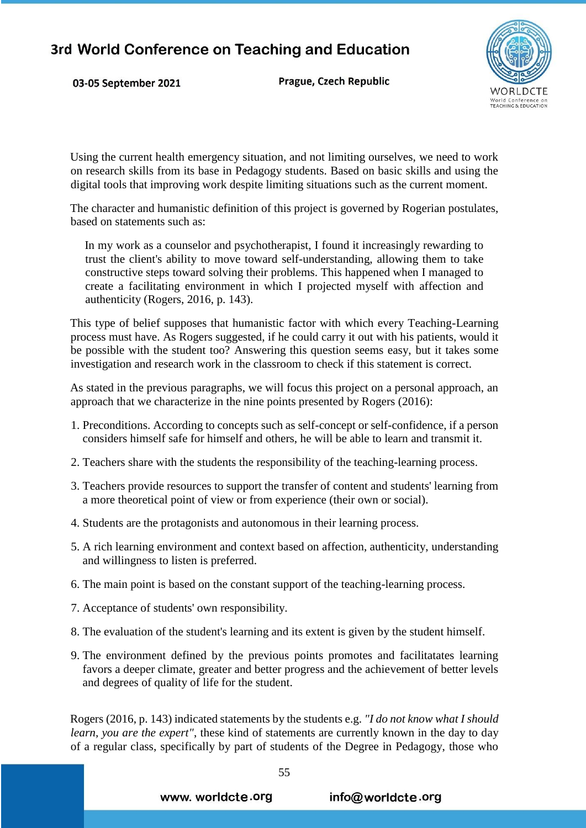03-05 September 2021

Prague, Czech Republic



Using the current health emergency situation, and not limiting ourselves, we need to work on research skills from its base in Pedagogy students. Based on basic skills and using the digital tools that improving work despite limiting situations such as the current moment.

The character and humanistic definition of this project is governed by Rogerian postulates, based on statements such as:

In my work as a counselor and psychotherapist, I found it increasingly rewarding to trust the client's ability to move toward self-understanding, allowing them to take constructive steps toward solving their problems. This happened when I managed to create a facilitating environment in which I projected myself with affection and authenticity (Rogers, 2016, p. 143).

This type of belief supposes that humanistic factor with which every Teaching-Learning process must have. As Rogers suggested, if he could carry it out with his patients, would it be possible with the student too? Answering this question seems easy, but it takes some investigation and research work in the classroom to check if this statement is correct.

As stated in the previous paragraphs, we will focus this project on a personal approach, an approach that we characterize in the nine points presented by Rogers (2016):

- 1. Preconditions. According to concepts such as self-concept or self-confidence, if a person considers himself safe for himself and others, he will be able to learn and transmit it.
- 2. Teachers share with the students the responsibility of the teaching-learning process.
- 3. Teachers provide resources to support the transfer of content and students' learning from a more theoretical point of view or from experience (their own or social).
- 4. Students are the protagonists and autonomous in their learning process.
- 5. A rich learning environment and context based on affection, authenticity, understanding and willingness to listen is preferred.
- 6. The main point is based on the constant support of the teaching-learning process.
- 7. Acceptance of students' own responsibility.
- 8. The evaluation of the student's learning and its extent is given by the student himself.
- 9. The environment defined by the previous points promotes and facilitatates learning favors a deeper climate, greater and better progress and the achievement of better levels and degrees of quality of life for the student.

Rogers (2016, p. 143) indicated statements by the students e.g. *"I do not know what I should learn, you are the expert"*, these kind of statements are currently known in the day to day of a regular class, specifically by part of students of the Degree in Pedagogy, those who

www. worldcte.org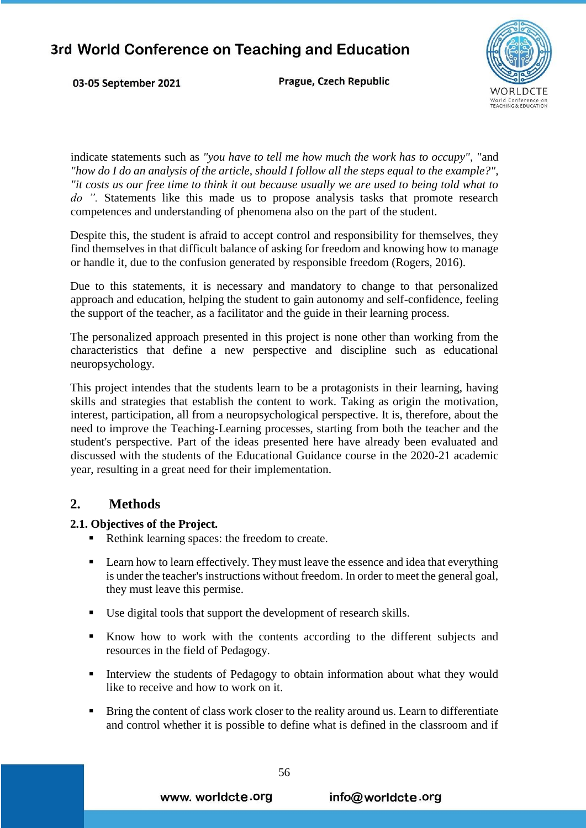03-05 September 2021

Prague, Czech Republic



indicate statements such as *"you have to tell me how much the work has to occupy", "*and *"how do I do an analysis of the article, should I follow all the steps equal to the example?", "it costs us our free time to think it out because usually we are used to being told what to do ".* Statements like this made us to propose analysis tasks that promote research competences and understanding of phenomena also on the part of the student.

Despite this, the student is afraid to accept control and responsibility for themselves, they find themselves in that difficult balance of asking for freedom and knowing how to manage or handle it, due to the confusion generated by responsible freedom (Rogers, 2016).

Due to this statements, it is necessary and mandatory to change to that personalized approach and education, helping the student to gain autonomy and self-confidence, feeling the support of the teacher, as a facilitator and the guide in their learning process.

The personalized approach presented in this project is none other than working from the characteristics that define a new perspective and discipline such as educational neuropsychology.

This project intendes that the students learn to be a protagonists in their learning, having skills and strategies that establish the content to work. Taking as origin the motivation, interest, participation, all from a neuropsychological perspective. It is, therefore, about the need to improve the Teaching-Learning processes, starting from both the teacher and the student's perspective. Part of the ideas presented here have already been evaluated and discussed with the students of the Educational Guidance course in the 2020-21 academic year, resulting in a great need for their implementation.

### **2. Methods**

### **2.1. Objectives of the Project.**

- Rethink learning spaces: the freedom to create.
- **Example 1** Learn how to learn effectively. They must leave the essence and idea that everything is under the teacher's instructions without freedom. In order to meet the general goal, they must leave this permise.
- Use digital tools that support the development of research skills.
- Know how to work with the contents according to the different subjects and resources in the field of Pedagogy.
- Interview the students of Pedagogy to obtain information about what they would like to receive and how to work on it.
- **Bring the content of class work closer to the reality around us. Learn to differentiate** and control whether it is possible to define what is defined in the classroom and if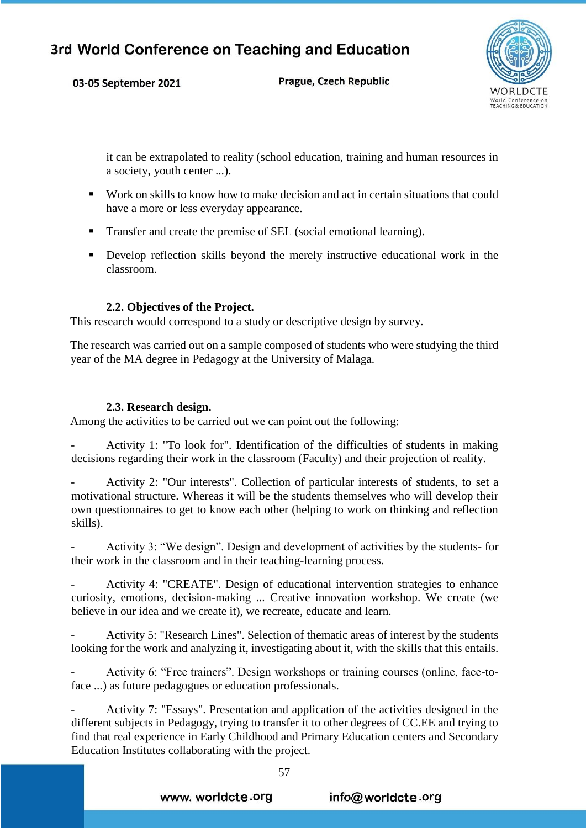03-05 September 2021

Prague, Czech Republic



it can be extrapolated to reality (school education, training and human resources in a society, youth center ...).

- Work on skills to know how to make decision and act in certain situations that could have a more or less everyday appearance.
- Transfer and create the premise of SEL (social emotional learning).
- Develop reflection skills beyond the merely instructive educational work in the classroom.

### **2.2. Objectives of the Project.**

This research would correspond to a study or descriptive design by survey.

The research was carried out on a sample composed of students who were studying the third year of the MA degree in Pedagogy at the University of Malaga.

### **2.3. Research design.**

Among the activities to be carried out we can point out the following:

- Activity 1: "To look for". Identification of the difficulties of students in making decisions regarding their work in the classroom (Faculty) and their projection of reality.

Activity 2: "Our interests". Collection of particular interests of students, to set a motivational structure. Whereas it will be the students themselves who will develop their own questionnaires to get to know each other (helping to work on thinking and reflection skills).

Activity 3: "We design". Design and development of activities by the students- for their work in the classroom and in their teaching-learning process.

Activity 4: "CREATE". Design of educational intervention strategies to enhance curiosity, emotions, decision-making ... Creative innovation workshop. We create (we believe in our idea and we create it), we recreate, educate and learn.

Activity 5: "Research Lines". Selection of thematic areas of interest by the students looking for the work and analyzing it, investigating about it, with the skills that this entails.

- Activity 6: "Free trainers". Design workshops or training courses (online, face-toface ...) as future pedagogues or education professionals.

Activity 7: "Essays". Presentation and application of the activities designed in the different subjects in Pedagogy, trying to transfer it to other degrees of CC.EE and trying to find that real experience in Early Childhood and Primary Education centers and Secondary Education Institutes collaborating with the project.

www. worldcte.org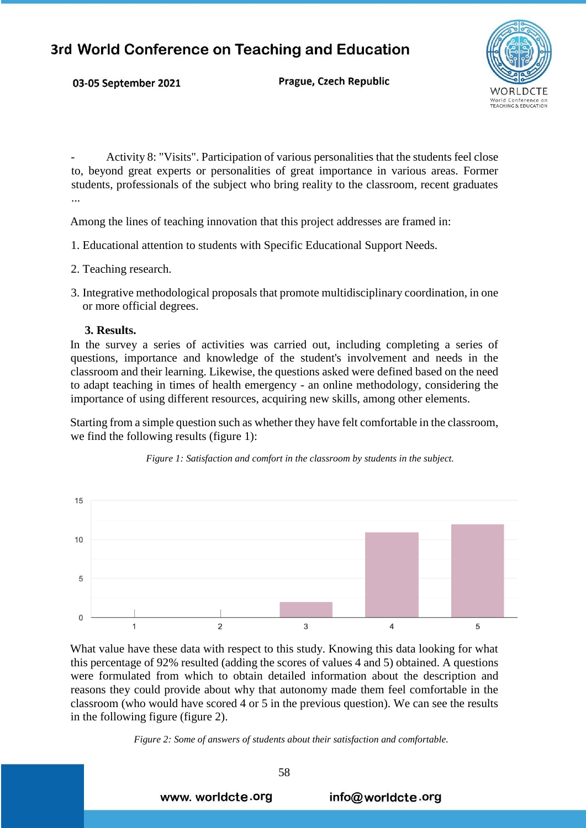Prague, Czech Republic



- Activity 8: "Visits". Participation of various personalities that the students feel close to, beyond great experts or personalities of great importance in various areas. Former students, professionals of the subject who bring reality to the classroom, recent graduates ...

Among the lines of teaching innovation that this project addresses are framed in:

- 1. Educational attention to students with Specific Educational Support Needs.
- 2. Teaching research.

03-05 September 2021

3. Integrative methodological proposals that promote multidisciplinary coordination, in one or more official degrees.

#### **3. Results.**

In the survey a series of activities was carried out, including completing a series of questions, importance and knowledge of the student's involvement and needs in the classroom and their learning. Likewise, the questions asked were defined based on the need to adapt teaching in times of health emergency - an online methodology, considering the importance of using different resources, acquiring new skills, among other elements.

Starting from a simple question such as whether they have felt comfortable in the classroom, we find the following results (figure 1):





What value have these data with respect to this study. Knowing this data looking for what this percentage of 92% resulted (adding the scores of values 4 and 5) obtained. A questions were formulated from which to obtain detailed information about the description and reasons they could provide about why that autonomy made them feel comfortable in the classroom (who would have scored 4 or 5 in the previous question). We can see the results in the following figure (figure 2).

*Figure 2: Some of answers of students about their satisfaction and comfortable.*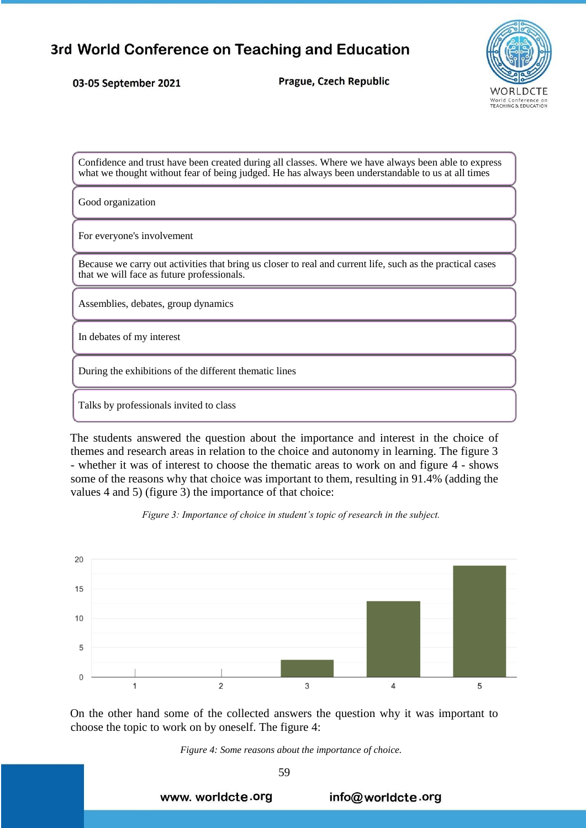03-05 September 2021

Prague, Czech Republic



Confidence and trust have been created during all classes. Where we have always been able to express what we thought without fear of being judged. He has always been understandable to us at all times

Good organization

For everyone's involvement

Because we carry out activities that bring us closer to real and current life, such as the practical cases that we will face as future professionals.

Assemblies, debates, group dynamics

In debates of my interest

During the exhibitions of the different thematic lines

Talks by professionals invited to class

The students answered the question about the importance and interest in the choice of themes and research areas in relation to the choice and autonomy in learning. The figure 3 - whether it was of interest to choose the thematic areas to work on and figure 4 - shows some of the reasons why that choice was important to them, resulting in 91.4% (adding the values 4 and 5) (figure 3) the importance of that choice:





On the other hand some of the collected answers the question why it was important to choose the topic to work on by oneself. The figure 4:



59

www. worldcte.org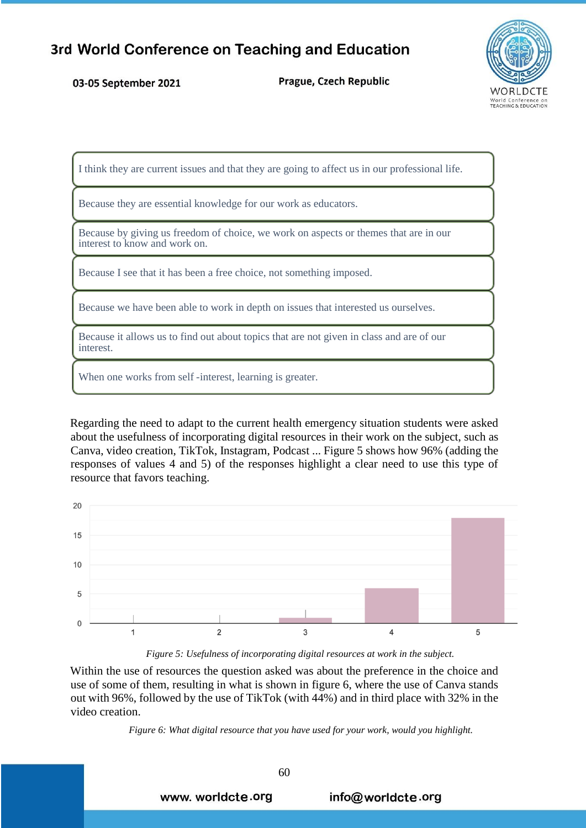#### 03-05 September 2021

Prague, Czech Republic



I think they are current issues and that they are going to affect us in our professional life.

Because they are essential knowledge for our work as educators.

Because by giving us freedom of choice, we work on aspects or themes that are in our interest to know and work on.

Because I see that it has been a free choice, not something imposed.

Because we have been able to work in depth on issues that interested us ourselves.

Because it allows us to find out about topics that are not given in class and are of our interest.

When one works from self -interest, learning is greater.

Regarding the need to adapt to the current health emergency situation students were asked about the usefulness of incorporating digital resources in their work on the subject, such as Canva, video creation, TikTok, Instagram, Podcast ... Figure 5 shows how 96% (adding the responses of values 4 and 5) of the responses highlight a clear need to use this type of resource that favors teaching.



*Figure 5: Usefulness of incorporating digital resources at work in the subject.*

Within the use of resources the question asked was about the preference in the choice and use of some of them, resulting in what is shown in figure 6, where the use of Canva stands out with 96%, followed by the use of TikTok (with 44%) and in third place with 32% in the video creation.

*Figure 6: What digital resource that you have used for your work, would you highlight.*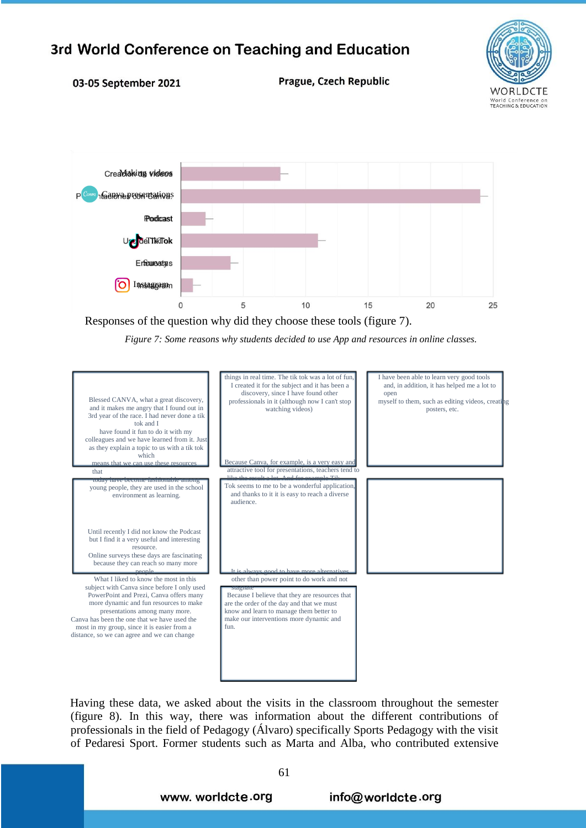

#### 03-05 September 2021

Prague, Czech Republic



Responses of the question why did they choose these tools (figure 7).

*Figure 7: Some reasons why students decided to use App and resources in online classes.*



Having these data, we asked about the visits in the classroom throughout the semester (figure 8). In this way, there was information about the different contributions of professionals in the field of Pedagogy (Álvaro) specifically Sports Pedagogy with the visit of Pedaresi Sport. Former students such as Marta and Alba, who contributed extensive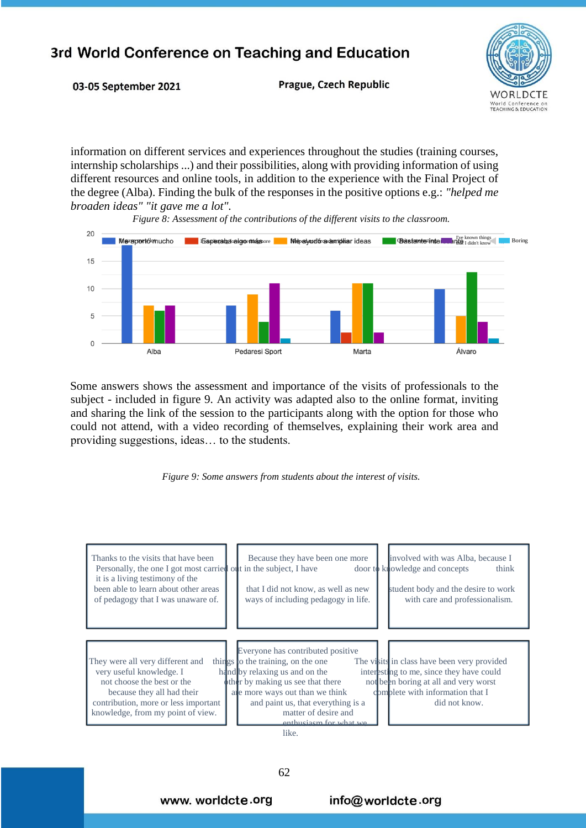

03-05 September 2021

Prague, Czech Republic

information on different services and experiences throughout the studies (training courses, internship scholarships ...) and their possibilities, along with providing information of using different resources and online tools, in addition to the experience with the Final Project of the degree (Alba). Finding the bulk of the responses in the positive options e.g.: *"helped me broaden ideas" "it gave me a lot".*

*Figure 8: Assessment of the contributions of the different visits to the classroom.*



Some answers shows the assessment and importance of the visits of professionals to the subject - included in figure 9. An activity was adapted also to the online format, inviting and sharing the link of the session to the participants along with the option for those who could not attend, with a video recording of themselves, explaining their work area and providing suggestions, ideas… to the students.



| Thanks to the visits that have been<br>Personally, the one I got most carried out in the subject, I have<br>it is a living testimony of the<br>been able to learn about other areas<br>of pedagogy that I was unaware of. | involved with was Alba, because I<br>Because they have been one more<br>door to knowledge and concepts<br>think<br>that I did not know, as well as new<br>student body and the desire to work<br>ways of including pedagogy in life.<br>with care and professionalism.                                                                                                                                                                                             |  |
|---------------------------------------------------------------------------------------------------------------------------------------------------------------------------------------------------------------------------|--------------------------------------------------------------------------------------------------------------------------------------------------------------------------------------------------------------------------------------------------------------------------------------------------------------------------------------------------------------------------------------------------------------------------------------------------------------------|--|
| They were all very different and<br>very useful knowledge. I<br>not choose the best or the<br>because they all had their<br>contribution, more or less important<br>knowledge, from my point of view.                     | Everyone has contributed positive<br>The visits in class have been very provided<br>things to the training, on the one<br>hand by relaxing us and on the<br>interesting to me, since they have could<br>other by making us see that there<br>not been boring at all and very worst<br>complete with information that I<br>are more ways out than we think<br>and paint us, that everything is a<br>did not know.<br>matter of desire and<br>enthusiasm for what we |  |

like.

www. worldcte.org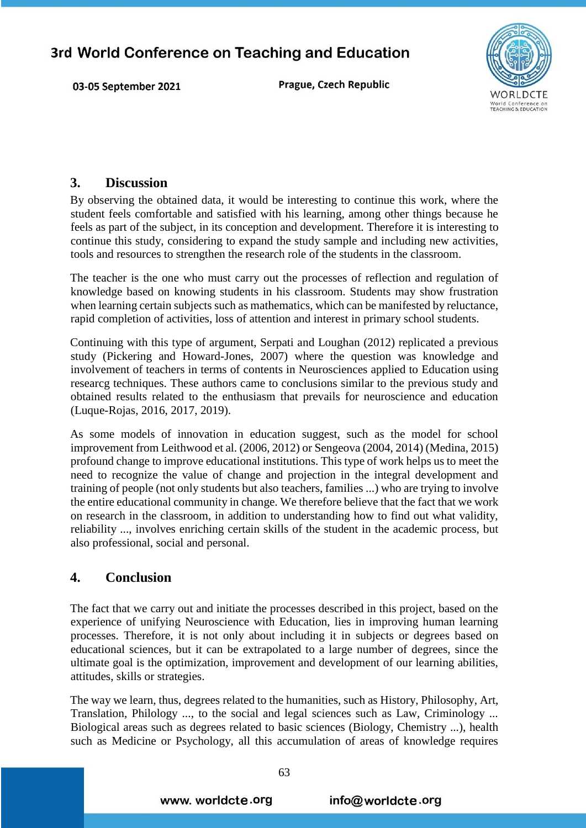Prague, Czech Republic



### **3. Discussion**

03-05 September 2021

By observing the obtained data, it would be interesting to continue this work, where the student feels comfortable and satisfied with his learning, among other things because he feels as part of the subject, in its conception and development. Therefore it is interesting to continue this study, considering to expand the study sample and including new activities, tools and resources to strengthen the research role of the students in the classroom.

The teacher is the one who must carry out the processes of reflection and regulation of knowledge based on knowing students in his classroom. Students may show frustration when learning certain subjects such as mathematics, which can be manifested by reluctance, rapid completion of activities, loss of attention and interest in primary school students.

Continuing with this type of argument, Serpati and Loughan (2012) replicated a previous study (Pickering and Howard-Jones, 2007) where the question was knowledge and involvement of teachers in terms of contents in Neurosciences applied to Education using researcg techniques. These authors came to conclusions similar to the previous study and obtained results related to the enthusiasm that prevails for neuroscience and education (Luque-Rojas, 2016, 2017, 2019).

As some models of innovation in education suggest, such as the model for school improvement from Leithwood et al. (2006, 2012) or Sengeova (2004, 2014) (Medina, 2015) profound change to improve educational institutions. This type of work helps us to meet the need to recognize the value of change and projection in the integral development and training of people (not only students but also teachers, families ...) who are trying to involve the entire educational community in change. We therefore believe that the fact that we work on research in the classroom, in addition to understanding how to find out what validity, reliability ..., involves enriching certain skills of the student in the academic process, but also professional, social and personal.

### **4. Conclusion**

The fact that we carry out and initiate the processes described in this project, based on the experience of unifying Neuroscience with Education, lies in improving human learning processes. Therefore, it is not only about including it in subjects or degrees based on educational sciences, but it can be extrapolated to a large number of degrees, since the ultimate goal is the optimization, improvement and development of our learning abilities, attitudes, skills or strategies.

The way we learn, thus, degrees related to the humanities, such as History, Philosophy, Art, Translation, Philology ..., to the social and legal sciences such as Law, Criminology ... Biological areas such as degrees related to basic sciences (Biology, Chemistry ...), health such as Medicine or Psychology, all this accumulation of areas of knowledge requires